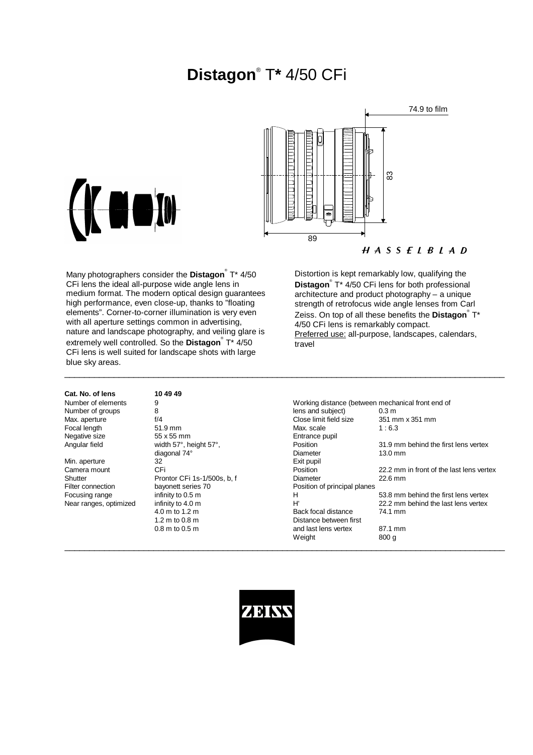# **Distagon**® T**\*** 4/50 CFi





 $H A S S E L B L A D$ 

Many photographers consider the **Distagon**® T\* 4/50 CFi lens the ideal all-purpose wide angle lens in medium format. The modern optical design guarantees high performance, even close-up, thanks to "floating elements". Corner-to-corner illumination is very even with all aperture settings common in advertising, nature and landscape photography, and veiling glare is extremely well controlled. So the **Distagon**® T\* 4/50 CFi lens is well suited for landscape shots with large blue sky areas.

### Distortion is kept remarkably low, qualifying the **Distagon**® T\* 4/50 CFi lens for both professional architecture and product photography – a unique strength of retrofocus wide angle lenses from Carl Zeiss. On top of all these benefits the **Distagon**® T\* 4/50 CFi lens is remarkably compact. Preferred use: all-purpose, landscapes, calendars, travel

**Cat. No. of lens 10 49 49**

Focal length 51.9 mm<br>Negative size 55 x 55 mm

55 x 55 mm<br>width 57°, height 57°, height 57°, position Min. aperture 32 32 1.2 m to 0.8 m Distance between first<br>0.8 m to 0.5 m and last lens vertex

Number of elements 9<br>
Number of aroups 8<br>
Number of aroups 8<br>
Bens and subject between mechanical front end of Number of groups 8 and subject) and subject of the Number of groups 8 and subject and subject of the Number of  $\theta$ . Max. aperture f/4 f/4 f/4 close limit field size 351 mm x 351 mm<br>Focal length 51.9 mm 51.9 mm Max. scale 1:6.3 Angular field width 57°, height 57°, <br>diagonal 74° metal 31.9 mm behind the first lens vertex<br>Diameter 13.0 mm diagonal 74° Diameter 13.0 mm Camera mount CFi CFi CFi Position 22.2 mm in front of the last lens vertex<br>Contract Pront CFi 1s-1/500s. b. f Diameter 22.6 mm Shutter Prontor CFi 1s-1/500s, b, f Diameter 22.6 mm<br>Filter connection bayonett series 70 Position of principal planes Position of principal planes Focusing range infinity to 0.5 m<br>
Near ranges, optimized infinity to 4.0 m<br>
H 53.8 mm behind the last lens vertex<br>
H 22.2 mm behind the last lens vertex 22.2 mm behind the last lens vertex 4.0 m to 1.2 m and last lens vertex 87.1 mm Weight 800 g



 $\_$  ,  $\_$  ,  $\_$  ,  $\_$  ,  $\_$  ,  $\_$  ,  $\_$  ,  $\_$  ,  $\_$  ,  $\_$  ,  $\_$  ,  $\_$  ,  $\_$  ,  $\_$  ,  $\_$  ,  $\_$  ,  $\_$  ,  $\_$  ,  $\_$  ,  $\_$  ,  $\_$  ,  $\_$  ,  $\_$  ,  $\_$  ,  $\_$  ,  $\_$  ,  $\_$  ,  $\_$  ,  $\_$  ,  $\_$  ,  $\_$  ,  $\_$  ,  $\_$  ,  $\_$  ,  $\_$  ,  $\_$  ,  $\_$  ,

\_\_\_\_\_\_\_\_\_\_\_\_\_\_\_\_\_\_\_\_\_\_\_\_\_\_\_\_\_\_\_\_\_\_\_\_\_\_\_\_\_\_\_\_\_\_\_\_\_\_\_\_\_\_\_\_\_\_\_\_\_\_\_\_\_\_\_\_\_\_\_\_\_\_\_\_\_\_\_\_\_\_\_\_\_\_\_\_\_